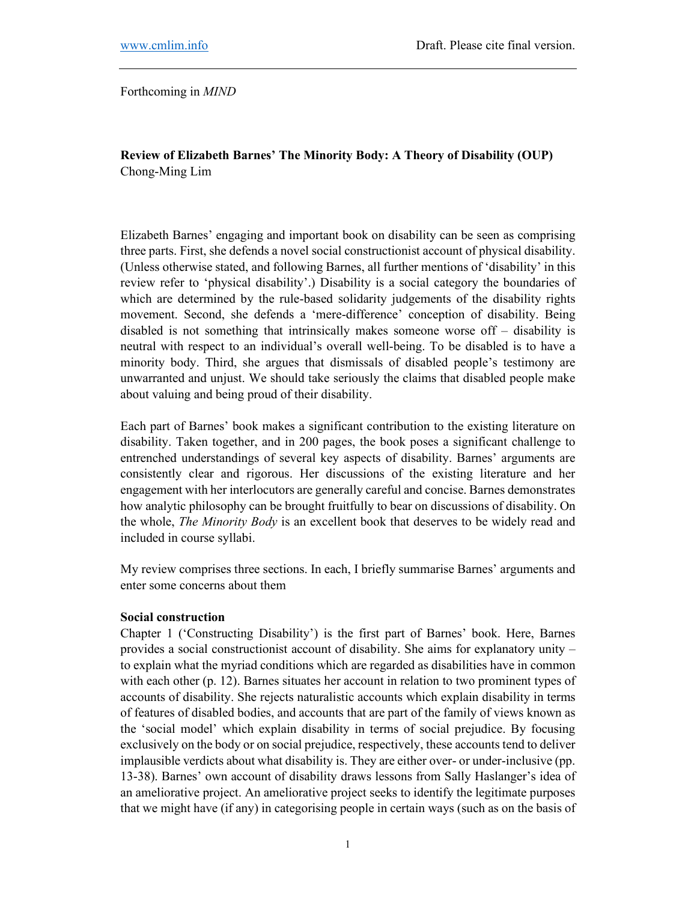Forthcoming in *MIND*

# **Review of Elizabeth Barnes' The Minority Body: A Theory of Disability (OUP)** Chong-Ming Lim

Elizabeth Barnes' engaging and important book on disability can be seen as comprising three parts. First, she defends a novel social constructionist account of physical disability. (Unless otherwise stated, and following Barnes, all further mentions of 'disability' in this review refer to 'physical disability'.) Disability is a social category the boundaries of which are determined by the rule-based solidarity judgements of the disability rights movement. Second, she defends a 'mere-difference' conception of disability. Being disabled is not something that intrinsically makes someone worse off – disability is neutral with respect to an individual's overall well-being. To be disabled is to have a minority body. Third, she argues that dismissals of disabled people's testimony are unwarranted and unjust. We should take seriously the claims that disabled people make about valuing and being proud of their disability.

Each part of Barnes' book makes a significant contribution to the existing literature on disability. Taken together, and in 200 pages, the book poses a significant challenge to entrenched understandings of several key aspects of disability. Barnes' arguments are consistently clear and rigorous. Her discussions of the existing literature and her engagement with her interlocutors are generally careful and concise. Barnes demonstrates how analytic philosophy can be brought fruitfully to bear on discussions of disability. On the whole, *The Minority Body* is an excellent book that deserves to be widely read and included in course syllabi.

My review comprises three sections. In each, I briefly summarise Barnes' arguments and enter some concerns about them

### **Social construction**

Chapter 1 ('Constructing Disability') is the first part of Barnes' book. Here, Barnes provides a social constructionist account of disability. She aims for explanatory unity – to explain what the myriad conditions which are regarded as disabilities have in common with each other (p. 12). Barnes situates her account in relation to two prominent types of accounts of disability. She rejects naturalistic accounts which explain disability in terms of features of disabled bodies, and accounts that are part of the family of views known as the 'social model' which explain disability in terms of social prejudice. By focusing exclusively on the body or on social prejudice, respectively, these accounts tend to deliver implausible verdicts about what disability is. They are either over- or under-inclusive (pp. 13-38). Barnes' own account of disability draws lessons from Sally Haslanger's idea of an ameliorative project. An ameliorative project seeks to identify the legitimate purposes that we might have (if any) in categorising people in certain ways (such as on the basis of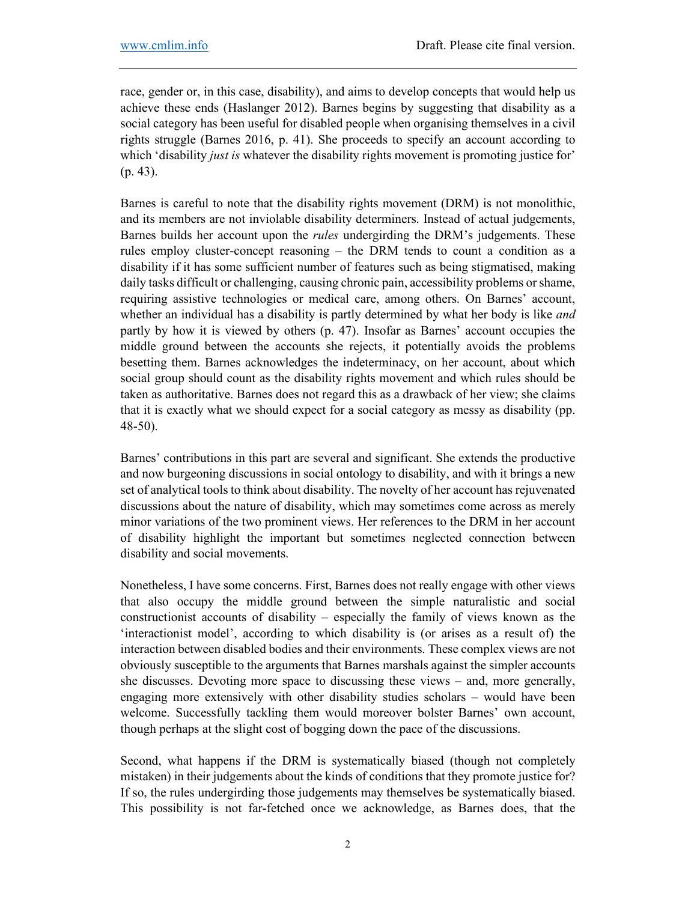race, gender or, in this case, disability), and aims to develop concepts that would help us achieve these ends (Haslanger 2012). Barnes begins by suggesting that disability as a social category has been useful for disabled people when organising themselves in a civil rights struggle (Barnes 2016, p. 41). She proceeds to specify an account according to which 'disability *just is* whatever the disability rights movement is promoting justice for' (p. 43).

Barnes is careful to note that the disability rights movement (DRM) is not monolithic, and its members are not inviolable disability determiners. Instead of actual judgements, Barnes builds her account upon the *rules* undergirding the DRM's judgements. These rules employ cluster-concept reasoning – the DRM tends to count a condition as a disability if it has some sufficient number of features such as being stigmatised, making daily tasks difficult or challenging, causing chronic pain, accessibility problems or shame, requiring assistive technologies or medical care, among others. On Barnes' account, whether an individual has a disability is partly determined by what her body is like *and* partly by how it is viewed by others (p. 47). Insofar as Barnes' account occupies the middle ground between the accounts she rejects, it potentially avoids the problems besetting them. Barnes acknowledges the indeterminacy, on her account, about which social group should count as the disability rights movement and which rules should be taken as authoritative. Barnes does not regard this as a drawback of her view; she claims that it is exactly what we should expect for a social category as messy as disability (pp. 48-50).

Barnes' contributions in this part are several and significant. She extends the productive and now burgeoning discussions in social ontology to disability, and with it brings a new set of analytical tools to think about disability. The novelty of her account has rejuvenated discussions about the nature of disability, which may sometimes come across as merely minor variations of the two prominent views. Her references to the DRM in her account of disability highlight the important but sometimes neglected connection between disability and social movements.

Nonetheless, I have some concerns. First, Barnes does not really engage with other views that also occupy the middle ground between the simple naturalistic and social constructionist accounts of disability – especially the family of views known as the 'interactionist model', according to which disability is (or arises as a result of) the interaction between disabled bodies and their environments. These complex views are not obviously susceptible to the arguments that Barnes marshals against the simpler accounts she discusses. Devoting more space to discussing these views – and, more generally, engaging more extensively with other disability studies scholars – would have been welcome. Successfully tackling them would moreover bolster Barnes' own account, though perhaps at the slight cost of bogging down the pace of the discussions.

Second, what happens if the DRM is systematically biased (though not completely mistaken) in their judgements about the kinds of conditions that they promote justice for? If so, the rules undergirding those judgements may themselves be systematically biased. This possibility is not far-fetched once we acknowledge, as Barnes does, that the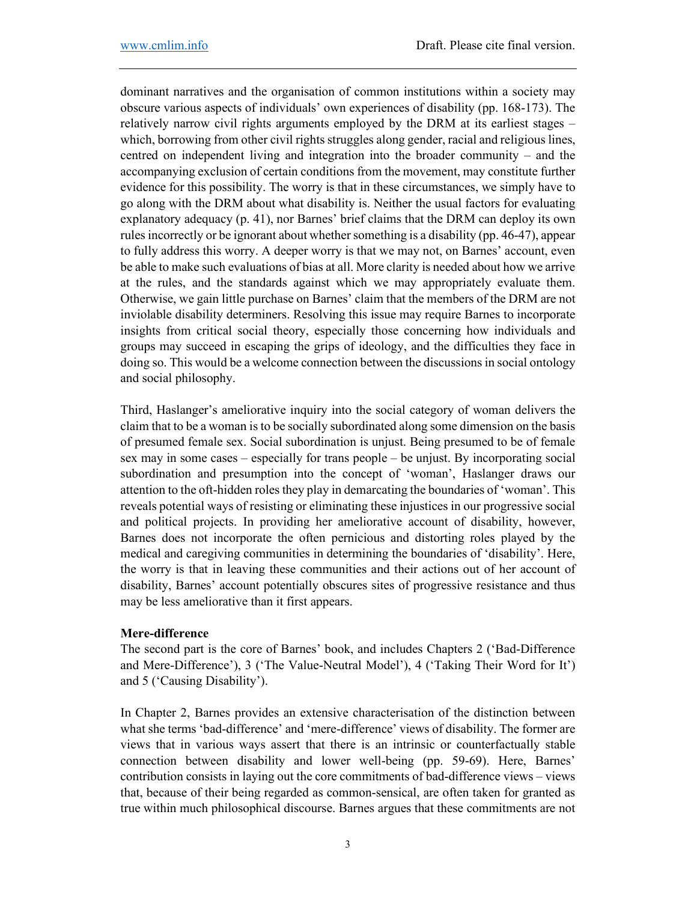dominant narratives and the organisation of common institutions within a society may obscure various aspects of individuals' own experiences of disability (pp. 168-173). The relatively narrow civil rights arguments employed by the DRM at its earliest stages – which, borrowing from other civil rights struggles along gender, racial and religious lines, centred on independent living and integration into the broader community – and the accompanying exclusion of certain conditions from the movement, may constitute further evidence for this possibility. The worry is that in these circumstances, we simply have to go along with the DRM about what disability is. Neither the usual factors for evaluating explanatory adequacy (p. 41), nor Barnes' brief claims that the DRM can deploy its own rules incorrectly or be ignorant about whether something is a disability (pp. 46-47), appear to fully address this worry. A deeper worry is that we may not, on Barnes' account, even be able to make such evaluations of bias at all. More clarity is needed about how we arrive at the rules, and the standards against which we may appropriately evaluate them. Otherwise, we gain little purchase on Barnes' claim that the members of the DRM are not inviolable disability determiners. Resolving this issue may require Barnes to incorporate insights from critical social theory, especially those concerning how individuals and groups may succeed in escaping the grips of ideology, and the difficulties they face in doing so. This would be a welcome connection between the discussions in social ontology and social philosophy.

Third, Haslanger's ameliorative inquiry into the social category of woman delivers the claim that to be a woman is to be socially subordinated along some dimension on the basis of presumed female sex. Social subordination is unjust. Being presumed to be of female sex may in some cases – especially for trans people – be unjust. By incorporating social subordination and presumption into the concept of 'woman', Haslanger draws our attention to the oft-hidden roles they play in demarcating the boundaries of 'woman'. This reveals potential ways of resisting or eliminating these injustices in our progressive social and political projects. In providing her ameliorative account of disability, however, Barnes does not incorporate the often pernicious and distorting roles played by the medical and caregiving communities in determining the boundaries of 'disability'. Here, the worry is that in leaving these communities and their actions out of her account of disability, Barnes' account potentially obscures sites of progressive resistance and thus may be less ameliorative than it first appears.

### **Mere-difference**

The second part is the core of Barnes' book, and includes Chapters 2 ('Bad-Difference and Mere-Difference'), 3 ('The Value-Neutral Model'), 4 ('Taking Their Word for It') and 5 ('Causing Disability').

In Chapter 2, Barnes provides an extensive characterisation of the distinction between what she terms 'bad-difference' and 'mere-difference' views of disability. The former are views that in various ways assert that there is an intrinsic or counterfactually stable connection between disability and lower well-being (pp. 59-69). Here, Barnes' contribution consists in laying out the core commitments of bad-difference views – views that, because of their being regarded as common-sensical, are often taken for granted as true within much philosophical discourse. Barnes argues that these commitments are not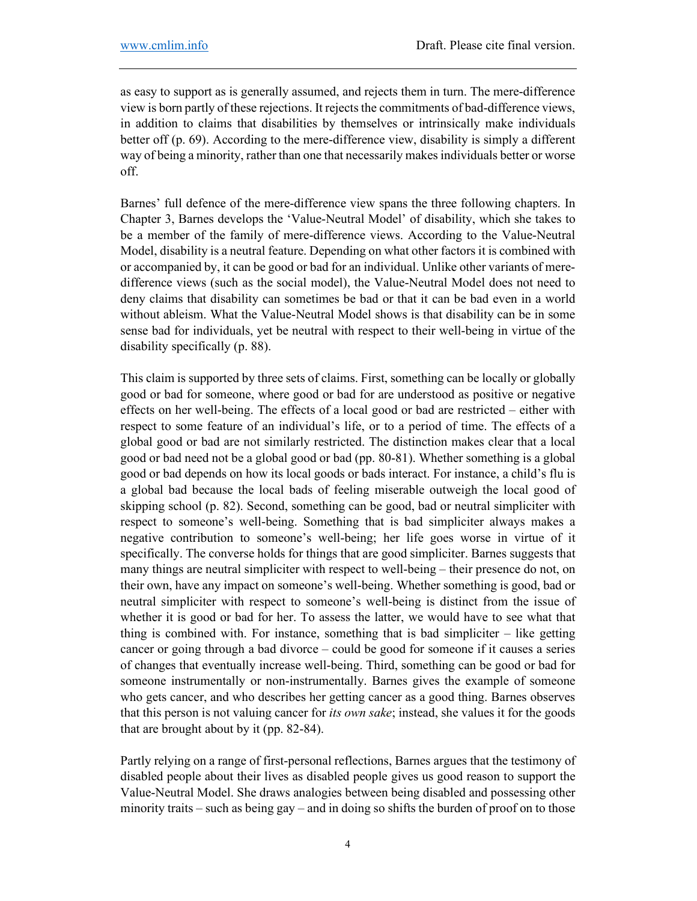as easy to support as is generally assumed, and rejects them in turn. The mere-difference view is born partly of these rejections. It rejects the commitments of bad-difference views, in addition to claims that disabilities by themselves or intrinsically make individuals better off (p. 69). According to the mere-difference view, disability is simply a different way of being a minority, rather than one that necessarily makes individuals better or worse off.

Barnes' full defence of the mere-difference view spans the three following chapters. In Chapter 3, Barnes develops the 'Value-Neutral Model' of disability, which she takes to be a member of the family of mere-difference views. According to the Value-Neutral Model, disability is a neutral feature. Depending on what other factors it is combined with or accompanied by, it can be good or bad for an individual. Unlike other variants of meredifference views (such as the social model), the Value-Neutral Model does not need to deny claims that disability can sometimes be bad or that it can be bad even in a world without ableism. What the Value-Neutral Model shows is that disability can be in some sense bad for individuals, yet be neutral with respect to their well-being in virtue of the disability specifically (p. 88).

This claim is supported by three sets of claims. First, something can be locally or globally good or bad for someone, where good or bad for are understood as positive or negative effects on her well-being. The effects of a local good or bad are restricted – either with respect to some feature of an individual's life, or to a period of time. The effects of a global good or bad are not similarly restricted. The distinction makes clear that a local good or bad need not be a global good or bad (pp. 80-81). Whether something is a global good or bad depends on how its local goods or bads interact. For instance, a child's flu is a global bad because the local bads of feeling miserable outweigh the local good of skipping school (p. 82). Second, something can be good, bad or neutral simpliciter with respect to someone's well-being. Something that is bad simpliciter always makes a negative contribution to someone's well-being; her life goes worse in virtue of it specifically. The converse holds for things that are good simpliciter. Barnes suggests that many things are neutral simpliciter with respect to well-being – their presence do not, on their own, have any impact on someone's well-being. Whether something is good, bad or neutral simpliciter with respect to someone's well-being is distinct from the issue of whether it is good or bad for her. To assess the latter, we would have to see what that thing is combined with. For instance, something that is bad simpliciter – like getting cancer or going through a bad divorce – could be good for someone if it causes a series of changes that eventually increase well-being. Third, something can be good or bad for someone instrumentally or non-instrumentally. Barnes gives the example of someone who gets cancer, and who describes her getting cancer as a good thing. Barnes observes that this person is not valuing cancer for *its own sake*; instead, she values it for the goods that are brought about by it (pp. 82-84).

Partly relying on a range of first-personal reflections, Barnes argues that the testimony of disabled people about their lives as disabled people gives us good reason to support the Value-Neutral Model. She draws analogies between being disabled and possessing other minority traits – such as being gay – and in doing so shifts the burden of proof on to those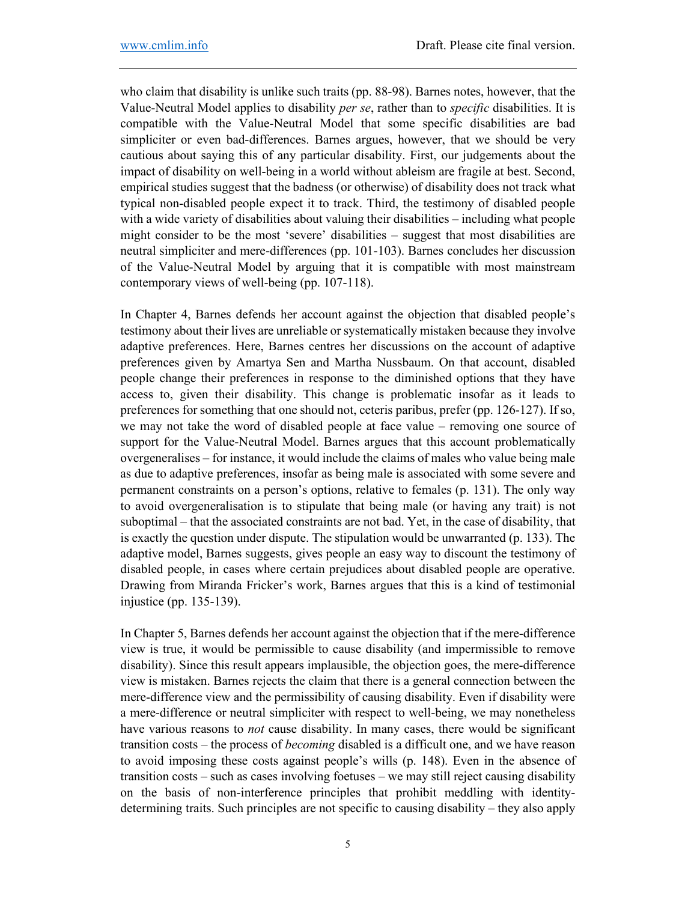who claim that disability is unlike such traits (pp. 88-98). Barnes notes, however, that the Value-Neutral Model applies to disability *per se*, rather than to *specific* disabilities. It is compatible with the Value-Neutral Model that some specific disabilities are bad simpliciter or even bad-differences. Barnes argues, however, that we should be very cautious about saying this of any particular disability. First, our judgements about the impact of disability on well-being in a world without ableism are fragile at best. Second, empirical studies suggest that the badness (or otherwise) of disability does not track what typical non-disabled people expect it to track. Third, the testimony of disabled people with a wide variety of disabilities about valuing their disabilities – including what people might consider to be the most 'severe' disabilities – suggest that most disabilities are neutral simpliciter and mere-differences (pp. 101-103). Barnes concludes her discussion of the Value-Neutral Model by arguing that it is compatible with most mainstream contemporary views of well-being (pp. 107-118).

In Chapter 4, Barnes defends her account against the objection that disabled people's testimony about their lives are unreliable or systematically mistaken because they involve adaptive preferences. Here, Barnes centres her discussions on the account of adaptive preferences given by Amartya Sen and Martha Nussbaum. On that account, disabled people change their preferences in response to the diminished options that they have access to, given their disability. This change is problematic insofar as it leads to preferences for something that one should not, ceteris paribus, prefer (pp. 126-127). If so, we may not take the word of disabled people at face value – removing one source of support for the Value-Neutral Model. Barnes argues that this account problematically overgeneralises – for instance, it would include the claims of males who value being male as due to adaptive preferences, insofar as being male is associated with some severe and permanent constraints on a person's options, relative to females (p. 131). The only way to avoid overgeneralisation is to stipulate that being male (or having any trait) is not suboptimal – that the associated constraints are not bad. Yet, in the case of disability, that is exactly the question under dispute. The stipulation would be unwarranted (p. 133). The adaptive model, Barnes suggests, gives people an easy way to discount the testimony of disabled people, in cases where certain prejudices about disabled people are operative. Drawing from Miranda Fricker's work, Barnes argues that this is a kind of testimonial injustice (pp. 135-139).

In Chapter 5, Barnes defends her account against the objection that if the mere-difference view is true, it would be permissible to cause disability (and impermissible to remove disability). Since this result appears implausible, the objection goes, the mere-difference view is mistaken. Barnes rejects the claim that there is a general connection between the mere-difference view and the permissibility of causing disability. Even if disability were a mere-difference or neutral simpliciter with respect to well-being, we may nonetheless have various reasons to *not* cause disability. In many cases, there would be significant transition costs – the process of *becoming* disabled is a difficult one, and we have reason to avoid imposing these costs against people's wills (p. 148). Even in the absence of transition costs – such as cases involving foetuses – we may still reject causing disability on the basis of non-interference principles that prohibit meddling with identitydetermining traits. Such principles are not specific to causing disability – they also apply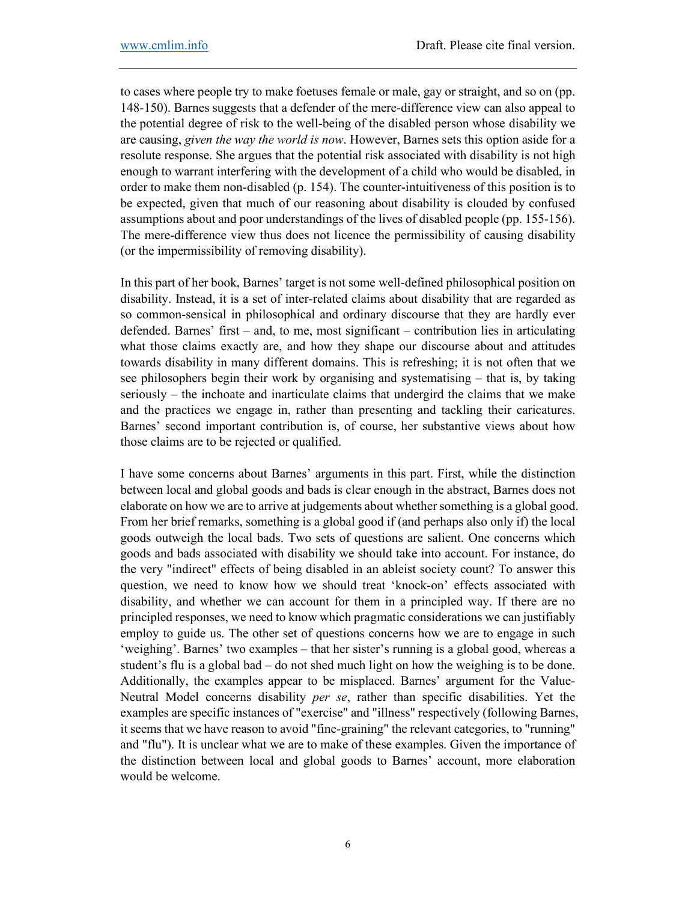to cases where people try to make foetuses female or male, gay or straight, and so on (pp. 148-150). Barnes suggests that a defender of the mere-difference view can also appeal to the potential degree of risk to the well-being of the disabled person whose disability we are causing, *given the way the world is now*. However, Barnes sets this option aside for a resolute response. She argues that the potential risk associated with disability is not high enough to warrant interfering with the development of a child who would be disabled, in order to make them non-disabled (p. 154). The counter-intuitiveness of this position is to be expected, given that much of our reasoning about disability is clouded by confused assumptions about and poor understandings of the lives of disabled people (pp. 155-156). The mere-difference view thus does not licence the permissibility of causing disability (or the impermissibility of removing disability).

In this part of her book, Barnes' target is not some well-defined philosophical position on disability. Instead, it is a set of inter-related claims about disability that are regarded as so common-sensical in philosophical and ordinary discourse that they are hardly ever defended. Barnes' first – and, to me, most significant – contribution lies in articulating what those claims exactly are, and how they shape our discourse about and attitudes towards disability in many different domains. This is refreshing; it is not often that we see philosophers begin their work by organising and systematising – that is, by taking seriously – the inchoate and inarticulate claims that undergird the claims that we make and the practices we engage in, rather than presenting and tackling their caricatures. Barnes' second important contribution is, of course, her substantive views about how those claims are to be rejected or qualified.

I have some concerns about Barnes' arguments in this part. First, while the distinction between local and global goods and bads is clear enough in the abstract, Barnes does not elaborate on how we are to arrive at judgements about whether something is a global good. From her brief remarks, something is a global good if (and perhaps also only if) the local goods outweigh the local bads. Two sets of questions are salient. One concerns which goods and bads associated with disability we should take into account. For instance, do the very "indirect" effects of being disabled in an ableist society count? To answer this question, we need to know how we should treat 'knock-on' effects associated with disability, and whether we can account for them in a principled way. If there are no principled responses, we need to know which pragmatic considerations we can justifiably employ to guide us. The other set of questions concerns how we are to engage in such 'weighing'. Barnes' two examples – that her sister's running is a global good, whereas a student's flu is a global bad – do not shed much light on how the weighing is to be done. Additionally, the examples appear to be misplaced. Barnes' argument for the Value-Neutral Model concerns disability *per se*, rather than specific disabilities. Yet the examples are specific instances of "exercise" and "illness" respectively (following Barnes, it seems that we have reason to avoid "fine-graining" the relevant categories, to "running" and "flu"). It is unclear what we are to make of these examples. Given the importance of the distinction between local and global goods to Barnes' account, more elaboration would be welcome.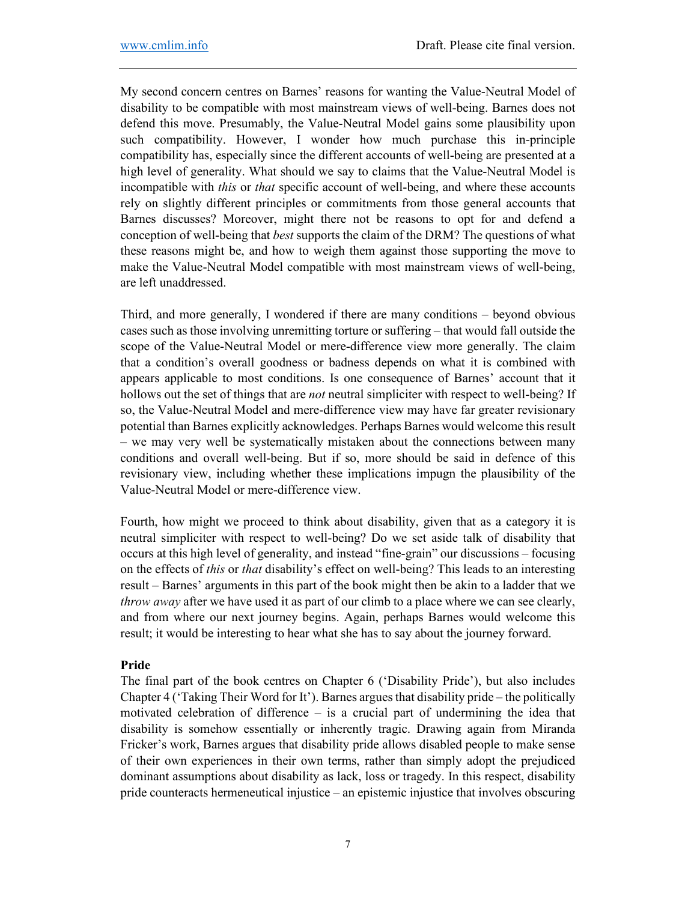My second concern centres on Barnes' reasons for wanting the Value-Neutral Model of disability to be compatible with most mainstream views of well-being. Barnes does not defend this move. Presumably, the Value-Neutral Model gains some plausibility upon such compatibility. However, I wonder how much purchase this in-principle compatibility has, especially since the different accounts of well-being are presented at a high level of generality. What should we say to claims that the Value-Neutral Model is incompatible with *this* or *that* specific account of well-being, and where these accounts rely on slightly different principles or commitments from those general accounts that Barnes discusses? Moreover, might there not be reasons to opt for and defend a conception of well-being that *best* supports the claim of the DRM? The questions of what these reasons might be, and how to weigh them against those supporting the move to make the Value-Neutral Model compatible with most mainstream views of well-being, are left unaddressed.

Third, and more generally, I wondered if there are many conditions – beyond obvious cases such as those involving unremitting torture or suffering – that would fall outside the scope of the Value-Neutral Model or mere-difference view more generally. The claim that a condition's overall goodness or badness depends on what it is combined with appears applicable to most conditions. Is one consequence of Barnes' account that it hollows out the set of things that are *not* neutral simpliciter with respect to well-being? If so, the Value-Neutral Model and mere-difference view may have far greater revisionary potential than Barnes explicitly acknowledges. Perhaps Barnes would welcome this result – we may very well be systematically mistaken about the connections between many conditions and overall well-being. But if so, more should be said in defence of this revisionary view, including whether these implications impugn the plausibility of the Value-Neutral Model or mere-difference view.

Fourth, how might we proceed to think about disability, given that as a category it is neutral simpliciter with respect to well-being? Do we set aside talk of disability that occurs at this high level of generality, and instead "fine-grain" our discussions – focusing on the effects of *this* or *that* disability's effect on well-being? This leads to an interesting result – Barnes' arguments in this part of the book might then be akin to a ladder that we *throw away* after we have used it as part of our climb to a place where we can see clearly, and from where our next journey begins. Again, perhaps Barnes would welcome this result; it would be interesting to hear what she has to say about the journey forward.

### **Pride**

The final part of the book centres on Chapter 6 ('Disability Pride'), but also includes Chapter 4 ('Taking Their Word for It'). Barnes argues that disability pride – the politically motivated celebration of difference – is a crucial part of undermining the idea that disability is somehow essentially or inherently tragic. Drawing again from Miranda Fricker's work, Barnes argues that disability pride allows disabled people to make sense of their own experiences in their own terms, rather than simply adopt the prejudiced dominant assumptions about disability as lack, loss or tragedy. In this respect, disability pride counteracts hermeneutical injustice – an epistemic injustice that involves obscuring